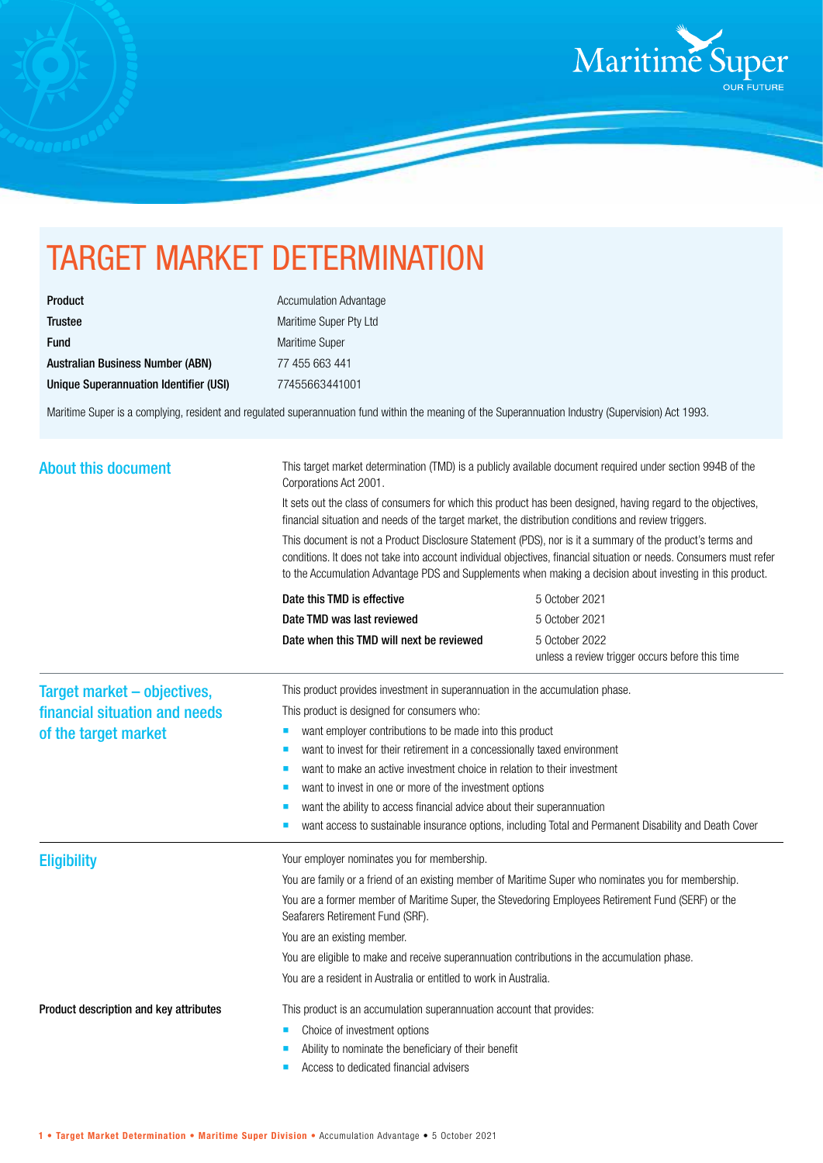

## TARGET MARKET DETERMINATION

| Product                                |
|----------------------------------------|
| Trustee                                |
| <b>Fund</b>                            |
| Australian Business Number (ABN)       |
| Unique Superannuation Identifier (USI) |

**Accumulation Advantage** Maritime Super Pty Ltd Maritime Super 77 455 663 441 Unique Superannuation Identifier (USI) 77455663441001

Maritime Super is a complying, resident and regulated superannuation fund within the meaning of the Superannuation Industry (Supervision) Act 1993.

| <b>About this document</b>                                                           | This target market determination (TMD) is a publicly available document required under section 994B of the<br>Corporations Act 2001.<br>It sets out the class of consumers for which this product has been designed, having regard to the objectives,<br>financial situation and needs of the target market, the distribution conditions and review triggers.<br>This document is not a Product Disclosure Statement (PDS), nor is it a summary of the product's terms and<br>conditions. It does not take into account individual objectives, financial situation or needs. Consumers must refer<br>to the Accumulation Advantage PDS and Supplements when making a decision about investing in this product. |                                                                   |
|--------------------------------------------------------------------------------------|----------------------------------------------------------------------------------------------------------------------------------------------------------------------------------------------------------------------------------------------------------------------------------------------------------------------------------------------------------------------------------------------------------------------------------------------------------------------------------------------------------------------------------------------------------------------------------------------------------------------------------------------------------------------------------------------------------------|-------------------------------------------------------------------|
|                                                                                      | Date this TMD is effective                                                                                                                                                                                                                                                                                                                                                                                                                                                                                                                                                                                                                                                                                     | 5 October 2021                                                    |
|                                                                                      | Date TMD was last reviewed                                                                                                                                                                                                                                                                                                                                                                                                                                                                                                                                                                                                                                                                                     | 5 October 2021                                                    |
|                                                                                      | Date when this TMD will next be reviewed                                                                                                                                                                                                                                                                                                                                                                                                                                                                                                                                                                                                                                                                       | 5 October 2022<br>unless a review trigger occurs before this time |
| Target market - objectives,<br>financial situation and needs<br>of the target market | This product provides investment in superannuation in the accumulation phase.<br>This product is designed for consumers who:<br>want employer contributions to be made into this product<br>ш<br>want to invest for their retirement in a concessionally taxed environment<br>п<br>want to make an active investment choice in relation to their investment<br>want to invest in one or more of the investment options<br>want the ability to access financial advice about their superannuation<br>want access to sustainable insurance options, including Total and Permanent Disability and Death Cover                                                                                                     |                                                                   |
| <b>Eligibility</b>                                                                   | Your employer nominates you for membership.<br>You are family or a friend of an existing member of Maritime Super who nominates you for membership.<br>You are a former member of Maritime Super, the Stevedoring Employees Retirement Fund (SERF) or the<br>Seafarers Retirement Fund (SRF).<br>You are an existing member.<br>You are eligible to make and receive superannuation contributions in the accumulation phase.<br>You are a resident in Australia or entitled to work in Australia.                                                                                                                                                                                                              |                                                                   |
| Product description and key attributes                                               | This product is an accumulation superannuation account that provides:<br>Choice of investment options<br>п<br>Ability to nominate the beneficiary of their benefit<br>Access to dedicated financial advisers                                                                                                                                                                                                                                                                                                                                                                                                                                                                                                   |                                                                   |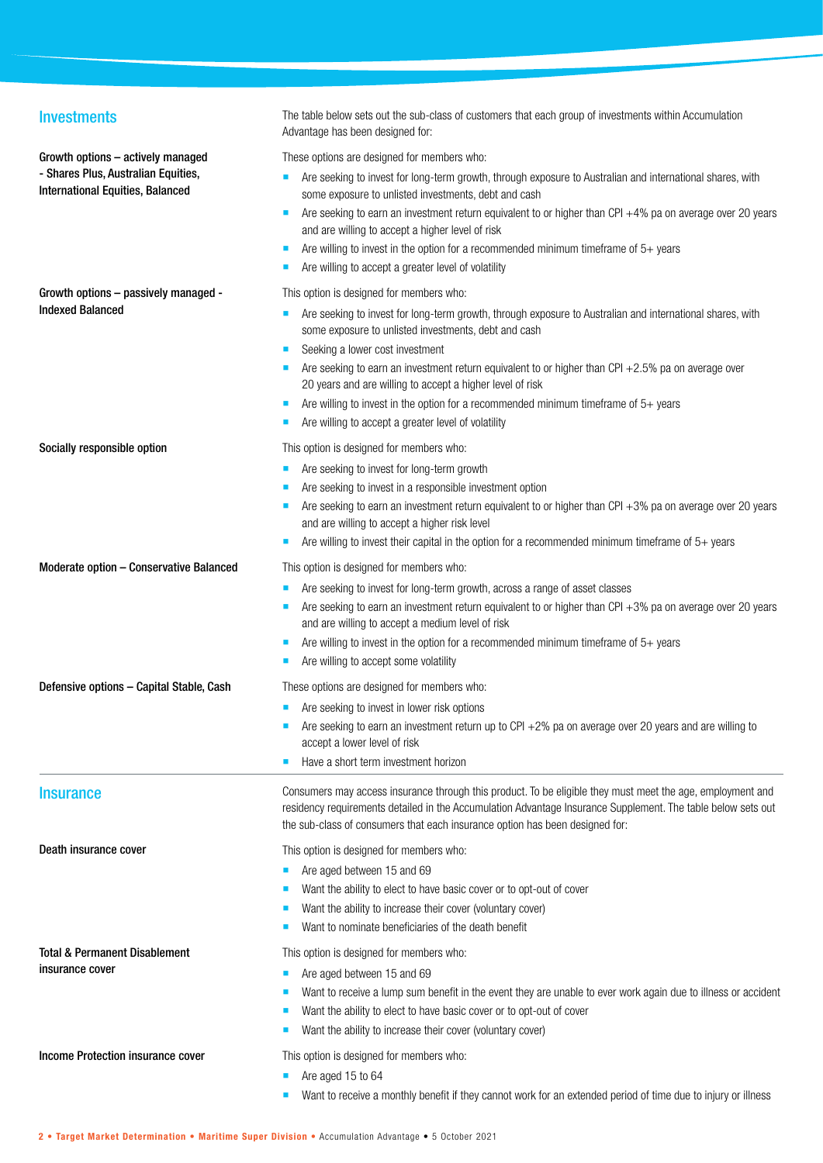| <b>Investments</b>                                                             | The table below sets out the sub-class of customers that each group of investments within Accumulation<br>Advantage has been designed for:                                                                                                                                                                 |
|--------------------------------------------------------------------------------|------------------------------------------------------------------------------------------------------------------------------------------------------------------------------------------------------------------------------------------------------------------------------------------------------------|
| Growth options - actively managed                                              | These options are designed for members who:                                                                                                                                                                                                                                                                |
| - Shares Plus, Australian Equities,<br><b>International Equities, Balanced</b> | Are seeking to invest for long-term growth, through exposure to Australian and international shares, with<br>some exposure to unlisted investments, debt and cash                                                                                                                                          |
|                                                                                | Are seeking to earn an investment return equivalent to or higher than CPI +4% pa on average over 20 years<br>and are willing to accept a higher level of risk                                                                                                                                              |
|                                                                                | Are willing to invest in the option for a recommended minimum timeframe of $5+$ years<br>п<br>Are willing to accept a greater level of volatility                                                                                                                                                          |
| Growth options - passively managed -                                           | This option is designed for members who:                                                                                                                                                                                                                                                                   |
| <b>Indexed Balanced</b>                                                        | Are seeking to invest for long-term growth, through exposure to Australian and international shares, with<br>some exposure to unlisted investments, debt and cash                                                                                                                                          |
|                                                                                | Seeking a lower cost investment<br>п                                                                                                                                                                                                                                                                       |
|                                                                                | Are seeking to earn an investment return equivalent to or higher than CPI $+2.5%$ pa on average over<br>20 years and are willing to accept a higher level of risk                                                                                                                                          |
|                                                                                | Are willing to invest in the option for a recommended minimum timeframe of $5+$ years<br>Are willing to accept a greater level of volatility                                                                                                                                                               |
| Socially responsible option                                                    | This option is designed for members who:                                                                                                                                                                                                                                                                   |
|                                                                                | Are seeking to invest for long-term growth                                                                                                                                                                                                                                                                 |
|                                                                                | Are seeking to invest in a responsible investment option                                                                                                                                                                                                                                                   |
|                                                                                | Are seeking to earn an investment return equivalent to or higher than CPI +3% pa on average over 20 years<br>and are willing to accept a higher risk level                                                                                                                                                 |
|                                                                                | Are willing to invest their capital in the option for a recommended minimum timeframe of $5+$ years                                                                                                                                                                                                        |
| Moderate option - Conservative Balanced                                        | This option is designed for members who:                                                                                                                                                                                                                                                                   |
|                                                                                | Are seeking to invest for long-term growth, across a range of asset classes                                                                                                                                                                                                                                |
|                                                                                | Are seeking to earn an investment return equivalent to or higher than CPI $+3%$ pa on average over 20 years<br>and are willing to accept a medium level of risk                                                                                                                                            |
|                                                                                | Are willing to invest in the option for a recommended minimum timeframe of $5+$ years                                                                                                                                                                                                                      |
|                                                                                | Are willing to accept some volatility                                                                                                                                                                                                                                                                      |
| Defensive options - Capital Stable, Cash                                       | These options are designed for members who:                                                                                                                                                                                                                                                                |
|                                                                                | Are seeking to invest in lower risk options<br>ш                                                                                                                                                                                                                                                           |
|                                                                                | Are seeking to earn an investment return up to CPI +2% pa on average over 20 years and are willing to<br>accept a lower level of risk                                                                                                                                                                      |
|                                                                                | Have a short term investment horizon                                                                                                                                                                                                                                                                       |
| <b>Insurance</b>                                                               | Consumers may access insurance through this product. To be eligible they must meet the age, employment and<br>residency requirements detailed in the Accumulation Advantage Insurance Supplement. The table below sets out<br>the sub-class of consumers that each insurance option has been designed for: |
| Death insurance cover                                                          | This option is designed for members who:                                                                                                                                                                                                                                                                   |
|                                                                                | Are aged between 15 and 69                                                                                                                                                                                                                                                                                 |
|                                                                                | Want the ability to elect to have basic cover or to opt-out of cover                                                                                                                                                                                                                                       |
|                                                                                | Want the ability to increase their cover (voluntary cover)                                                                                                                                                                                                                                                 |
|                                                                                | Want to nominate beneficiaries of the death benefit                                                                                                                                                                                                                                                        |
| Total & Permanent Disablement                                                  | This option is designed for members who:                                                                                                                                                                                                                                                                   |
| insurance cover                                                                | Are aged between 15 and 69                                                                                                                                                                                                                                                                                 |
|                                                                                | Want to receive a lump sum benefit in the event they are unable to ever work again due to illness or accident                                                                                                                                                                                              |
|                                                                                | Want the ability to elect to have basic cover or to opt-out of cover<br>Want the ability to increase their cover (voluntary cover)                                                                                                                                                                         |
| Income Protection insurance cover                                              | This option is designed for members who:                                                                                                                                                                                                                                                                   |
|                                                                                | Are aged 15 to 64                                                                                                                                                                                                                                                                                          |
|                                                                                | Want to receive a monthly benefit if they cannot work for an extended period of time due to injury or illness                                                                                                                                                                                              |